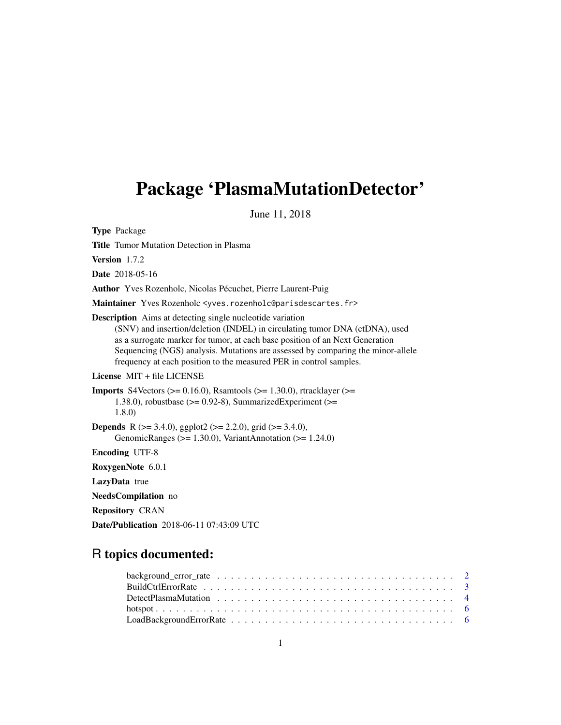# Package 'PlasmaMutationDetector'

June 11, 2018

Type Package

Title Tumor Mutation Detection in Plasma

Version 1.7.2

Date 2018-05-16

Author Yves Rozenholc, Nicolas Pécuchet, Pierre Laurent-Puig

Maintainer Yves Rozenholc <yves.rozenholc@parisdescartes.fr>

Description Aims at detecting single nucleotide variation

(SNV) and insertion/deletion (INDEL) in circulating tumor DNA (ctDNA), used as a surrogate marker for tumor, at each base position of an Next Generation Sequencing (NGS) analysis. Mutations are assessed by comparing the minor-allele frequency at each position to the measured PER in control samples.

#### License MIT + file LICENSE

```
Imports S4Vectors (>= 0.16.0), Rsamtools (>= 1.30.0), rtracklayer (>=1.38.0), robustbase (>= 0.92-8), SummarizedExperiment (>=1.8.0)
Depends R (>= 3.4.0), ggplot2 (>= 2.2.0), grid (>= 3.4.0),
```

```
GenomicRanges (> = 1.30.0), VariantAnnotation (> = 1.24.0)
```
Encoding UTF-8

RoxygenNote 6.0.1

LazyData true

NeedsCompilation no

Repository CRAN

Date/Publication 2018-06-11 07:43:09 UTC

# R topics documented: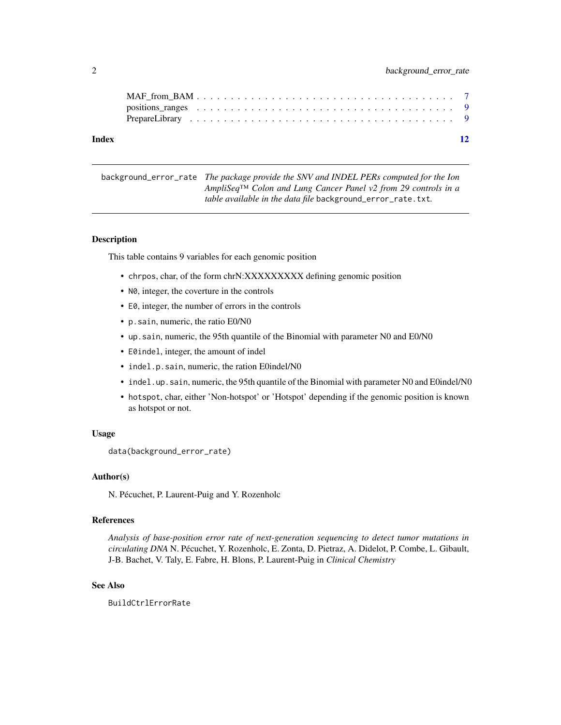<span id="page-1-0"></span>

#### **Index** [12](#page-11-0)

background\_error\_rate *The package provide the SNV and INDEL PERs computed for the Ion AmpliSeq™ Colon and Lung Cancer Panel v2 from 29 controls in a table available in the data file* background\_error\_rate.txt*.*

#### Description

This table contains 9 variables for each genomic position

- chrpos, char, of the form chrN:XXXXXXXXX defining genomic position
- N0, integer, the coverture in the controls
- E0, integer, the number of errors in the controls
- p.sain, numeric, the ratio E0/N0
- up.sain, numeric, the 95th quantile of the Binomial with parameter N0 and E0/N0
- E0indel, integer, the amount of indel
- indel.p.sain, numeric, the ration E0indel/N0
- indel.up.sain, numeric, the 95th quantile of the Binomial with parameter N0 and E0indel/N0
- hotspot, char, either 'Non-hotspot' or 'Hotspot' depending if the genomic position is known as hotspot or not.

#### Usage

data(background\_error\_rate)

#### Author(s)

N. Pécuchet, P. Laurent-Puig and Y. Rozenholc

#### References

*Analysis of base-position error rate of next-generation sequencing to detect tumor mutations in circulating DNA* N. Pécuchet, Y. Rozenholc, E. Zonta, D. Pietraz, A. Didelot, P. Combe, L. Gibault, J-B. Bachet, V. Taly, E. Fabre, H. Blons, P. Laurent-Puig in *Clinical Chemistry*

#### See Also

BuildCtrlErrorRate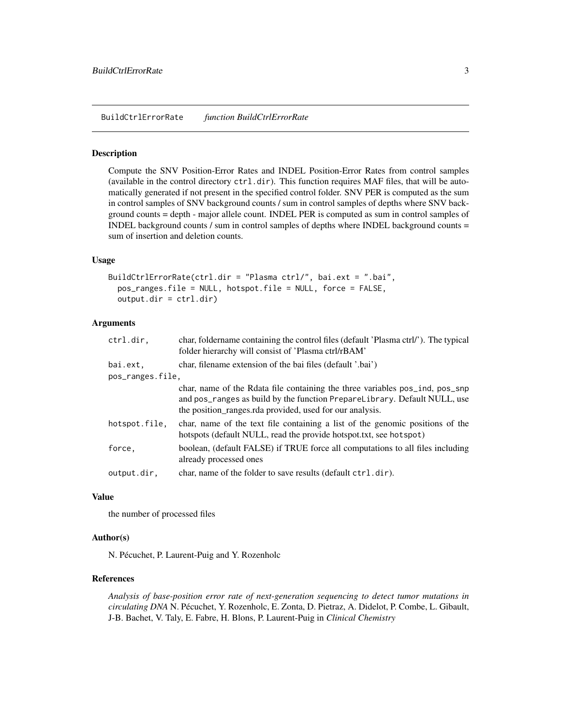<span id="page-2-0"></span>BuildCtrlErrorRate *function BuildCtrlErrorRate*

#### Description

Compute the SNV Position-Error Rates and INDEL Position-Error Rates from control samples (available in the control directory  $ctrl$ .dir). This function requires MAF files, that will be automatically generated if not present in the specified control folder. SNV PER is computed as the sum in control samples of SNV background counts / sum in control samples of depths where SNV background counts = depth - major allele count. INDEL PER is computed as sum in control samples of INDEL background counts / sum in control samples of depths where INDEL background counts = sum of insertion and deletion counts.

#### Usage

```
BuildCtrlErrorRate(ctrl.dir = "Plasma ctrl/", bai.ext = ".bai",
 pos_ranges.file = NULL, hotspot.file = NULL, force = FALSE,
 output.dir = ctrl.dir)
```
#### Arguments

| ctrl.dir,        | char, foldername containing the control files (default 'Plasma ctrl/'). The typical<br>folder hierarchy will consist of 'Plasma ctrl/rBAM'                                                                            |
|------------------|-----------------------------------------------------------------------------------------------------------------------------------------------------------------------------------------------------------------------|
| bai.ext,         | char, filename extension of the bai files (default '.bai')                                                                                                                                                            |
| pos_ranges.file, |                                                                                                                                                                                                                       |
|                  | char, name of the Rdata file containing the three variables pos_ind, pos_snp<br>and pos_ranges as build by the function PrepareLibrary. Default NULL, use<br>the position ranges rda provided, used for our analysis. |
| hotspot.file,    | char, name of the text file containing a list of the genomic positions of the<br>hotspots (default NULL, read the provide hotspot.txt, see hotspot)                                                                   |
| force,           | boolean, (default FALSE) if TRUE force all computations to all files including<br>already processed ones                                                                                                              |
| output.dir,      | char, name of the folder to save results (default ctrl.dir).                                                                                                                                                          |
|                  |                                                                                                                                                                                                                       |

#### Value

the number of processed files

#### Author(s)

N. Pécuchet, P. Laurent-Puig and Y. Rozenholc

#### References

*Analysis of base-position error rate of next-generation sequencing to detect tumor mutations in circulating DNA* N. Pécuchet, Y. Rozenholc, E. Zonta, D. Pietraz, A. Didelot, P. Combe, L. Gibault, J-B. Bachet, V. Taly, E. Fabre, H. Blons, P. Laurent-Puig in *Clinical Chemistry*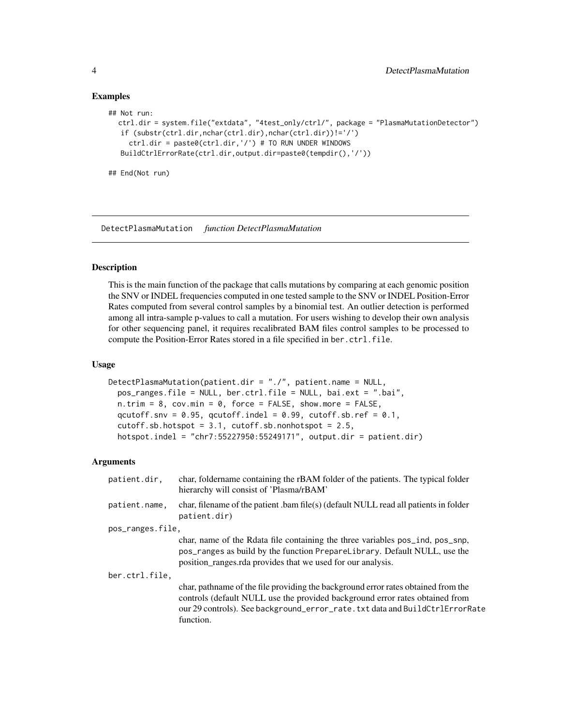#### Examples

```
## Not run:
  ctrl.dir = system.file("extdata", "4test_only/ctrl/", package = "PlasmaMutationDetector")
   if (substr(ctrl.dir,nchar(ctrl.dir),nchar(ctrl.dir))!='/')
    ctrl.dir = paste0(ctrl.dir,'/') # TO RUN UNDER WINDOWS
  BuildCtrlErrorRate(ctrl.dir,output.dir=paste0(tempdir(),'/'))
## End(Not run)
```
DetectPlasmaMutation *function DetectPlasmaMutation*

#### Description

This is the main function of the package that calls mutations by comparing at each genomic position the SNV or INDEL frequencies computed in one tested sample to the SNV or INDEL Position-Error Rates computed from several control samples by a binomial test. An outlier detection is performed among all intra-sample p-values to call a mutation. For users wishing to develop their own analysis for other sequencing panel, it requires recalibrated BAM files control samples to be processed to compute the Position-Error Rates stored in a file specified in ber.ctrl.file.

#### Usage

```
DetectPlasmaMutation(patient.dir = "./", patient.name = NULL,
 pos_ranges.file = NULL, ber.ctrl.file = NULL, bai.ext = ".bai",
 n.trim = 8, cov.min = 0, force = FALSE, show.more = FALSE,
  qcutoff.snv = 0.95, qcutoff.indel = 0.99, cutoff.sb.ref = 0.1,
  cutoff.sh.hotspot = 3.1, cutoff.sh.nonhotspot = 2.5,hotspot.indel = "chr7:55227950:55249171", output.dir = patient.dir)
```
#### Arguments

| patient.dir.     | char, foldername containing the rBAM folder of the patients. The typical folder<br>hierarchy will consist of 'Plasma/rBAM'                                                                                                                                    |
|------------------|---------------------------------------------------------------------------------------------------------------------------------------------------------------------------------------------------------------------------------------------------------------|
| patient.name.    | char, filename of the patient .bam file(s) (default NULL read all patients in folder<br>patient.dir)                                                                                                                                                          |
| pos_ranges.file, |                                                                                                                                                                                                                                                               |
|                  | char, name of the Rdata file containing the three variables pos_ind, pos_snp,<br>pos_ranges as build by the function PrepareLibrary. Default NULL, use the<br>position ranges rda provides that we used for our analysis.                                     |
| ber.ctrl.file.   |                                                                                                                                                                                                                                                               |
|                  | char, pathname of the file providing the background error rates obtained from the<br>controls (default NULL use the provided background error rates obtained from<br>our 29 controls). See background_error_rate.txt data and BuildCtrlErrorRate<br>function. |

<span id="page-3-0"></span>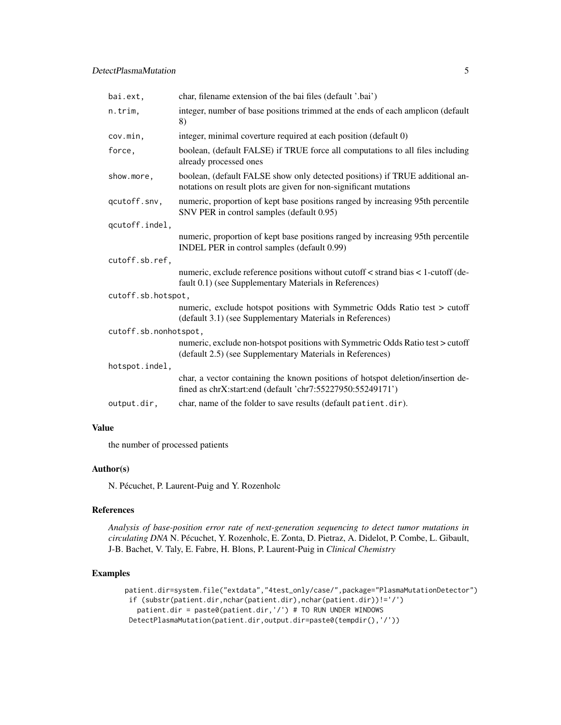| bai.ext,              | char, filename extension of the bai files (default '.bai')                                                                                        |
|-----------------------|---------------------------------------------------------------------------------------------------------------------------------------------------|
| n.trim,               | integer, number of base positions trimmed at the ends of each amplicon (default<br>8)                                                             |
| cov.min,              | integer, minimal coverture required at each position (default 0)                                                                                  |
| force,                | boolean, (default FALSE) if TRUE force all computations to all files including<br>already processed ones                                          |
| show.more,            | boolean, (default FALSE show only detected positions) if TRUE additional an-<br>notations on result plots are given for non-significant mutations |
| qcutoff.snv,          | numeric, proportion of kept base positions ranged by increasing 95th percentile<br>SNV PER in control samples (default 0.95)                      |
| qcutoff.indel,        |                                                                                                                                                   |
|                       | numeric, proportion of kept base positions ranged by increasing 95th percentile<br>INDEL PER in control samples (default 0.99)                    |
| cutoff.sb.ref,        |                                                                                                                                                   |
|                       | numeric, exclude reference positions without cutoff < strand bias < 1-cutoff (de-<br>fault 0.1) (see Supplementary Materials in References)       |
| cutoff.sb.hotspot,    |                                                                                                                                                   |
|                       | numeric, exclude hotspot positions with Symmetric Odds Ratio test > cutoff<br>(default 3.1) (see Supplementary Materials in References)           |
| cutoff.sb.nonhotspot, |                                                                                                                                                   |
|                       | numeric, exclude non-hotspot positions with Symmetric Odds Ratio test > cutoff<br>(default 2.5) (see Supplementary Materials in References)       |
| hotspot.indel,        |                                                                                                                                                   |
|                       | char, a vector containing the known positions of hotspot deletion/insertion de-<br>fined as chrX:start:end (default 'chr7:55227950:55249171')     |
| output.dir,           | char, name of the folder to save results (default patient.dir).                                                                                   |

#### Value

the number of processed patients

#### Author(s)

N. Pécuchet, P. Laurent-Puig and Y. Rozenholc

#### References

*Analysis of base-position error rate of next-generation sequencing to detect tumor mutations in circulating DNA* N. Pécuchet, Y. Rozenholc, E. Zonta, D. Pietraz, A. Didelot, P. Combe, L. Gibault, J-B. Bachet, V. Taly, E. Fabre, H. Blons, P. Laurent-Puig in *Clinical Chemistry*

#### Examples

```
patient.dir=system.file("extdata","4test_only/case/",package="PlasmaMutationDetector")
 if (substr(patient.dir,nchar(patient.dir),nchar(patient.dir))!='/')
   patient.dir = paste0(patient.dir,'/') # TO RUN UNDER WINDOWS
 DetectPlasmaMutation(patient.dir,output.dir=paste0(tempdir(),'/'))
```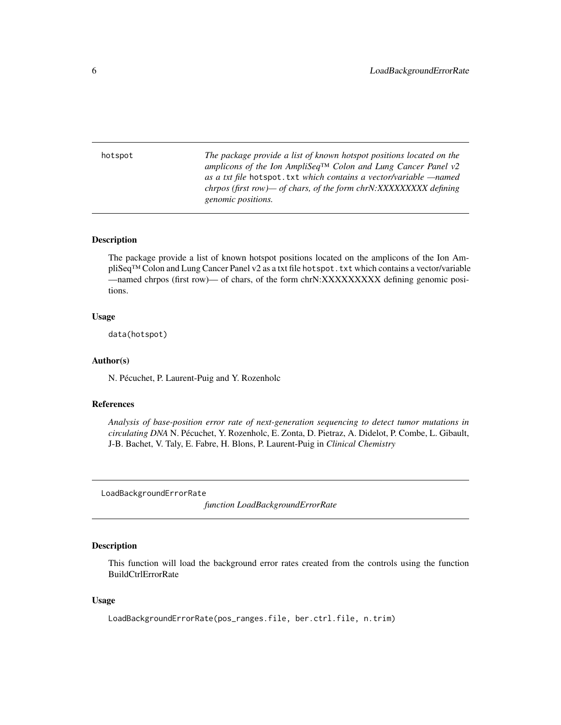<span id="page-5-0"></span>hotspot *The package provide a list of known hotspot positions located on the amplicons of the Ion AmpliSeq™ Colon and Lung Cancer Panel v2 as a txt file* hotspot.txt *which contains a vector/variable —named chrpos (first row)— of chars, of the form chrN:XXXXXXXXX defining genomic positions.*

#### Description

The package provide a list of known hotspot positions located on the amplicons of the Ion AmpliSeq™ Colon and Lung Cancer Panel v2 as a txt file hotspot.txt which contains a vector/variable —named chrpos (first row)— of chars, of the form chrN:XXXXXXXXX defining genomic positions.

#### Usage

data(hotspot)

#### Author(s)

N. Pécuchet, P. Laurent-Puig and Y. Rozenholc

#### References

*Analysis of base-position error rate of next-generation sequencing to detect tumor mutations in circulating DNA* N. Pécuchet, Y. Rozenholc, E. Zonta, D. Pietraz, A. Didelot, P. Combe, L. Gibault, J-B. Bachet, V. Taly, E. Fabre, H. Blons, P. Laurent-Puig in *Clinical Chemistry*

LoadBackgroundErrorRate

*function LoadBackgroundErrorRate*

#### Description

This function will load the background error rates created from the controls using the function BuildCtrlErrorRate

#### Usage

LoadBackgroundErrorRate(pos\_ranges.file, ber.ctrl.file, n.trim)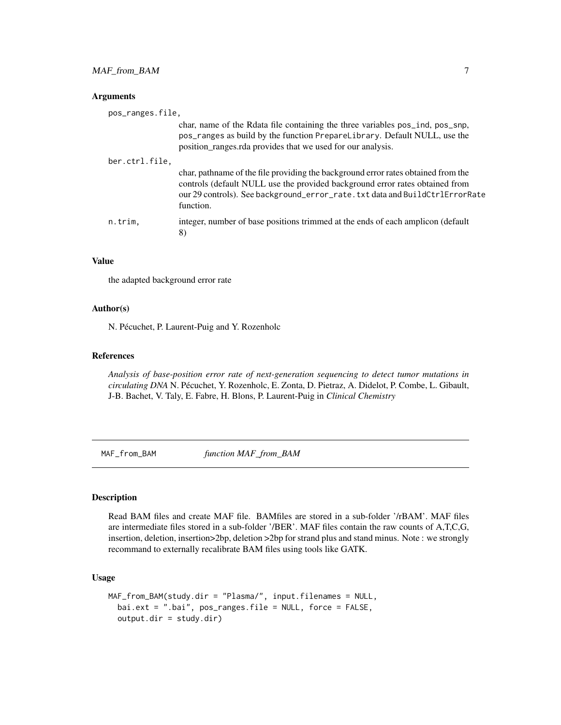#### <span id="page-6-0"></span>Arguments

| pos_ranges.file, |                                                                                                                                                                                                                                                               |
|------------------|---------------------------------------------------------------------------------------------------------------------------------------------------------------------------------------------------------------------------------------------------------------|
|                  | char, name of the Rdata file containing the three variables pos_ind, pos_snp,<br>pos_ranges as build by the function PrepareLibrary. Default NULL, use the<br>position_ranges.rda provides that we used for our analysis.                                     |
| ber.ctrl.file,   |                                                                                                                                                                                                                                                               |
|                  | char, pathname of the file providing the background error rates obtained from the<br>controls (default NULL use the provided background error rates obtained from<br>our 29 controls). See background_error_rate.txt data and BuildCtrlErrorRate<br>function. |
| n.trim,          | integer, number of base positions trimmed at the ends of each amplicon (default<br>8)                                                                                                                                                                         |

#### Value

the adapted background error rate

#### Author(s)

N. Pécuchet, P. Laurent-Puig and Y. Rozenholc

#### References

*Analysis of base-position error rate of next-generation sequencing to detect tumor mutations in circulating DNA* N. Pécuchet, Y. Rozenholc, E. Zonta, D. Pietraz, A. Didelot, P. Combe, L. Gibault, J-B. Bachet, V. Taly, E. Fabre, H. Blons, P. Laurent-Puig in *Clinical Chemistry*

MAF\_from\_BAM *function MAF\_from\_BAM*

#### Description

Read BAM files and create MAF file. BAMfiles are stored in a sub-folder '/rBAM'. MAF files are intermediate files stored in a sub-folder '/BER'. MAF files contain the raw counts of A,T,C,G, insertion, deletion, insertion>2bp, deletion >2bp for strand plus and stand minus. Note : we strongly recommand to externally recalibrate BAM files using tools like GATK.

#### Usage

```
MAF_from_BAM(study.dir = "Plasma/", input.filenames = NULL,
 bai.ext = ".bai", pos_ranges.file = NULL, force = FALSE,
  output.dir = study.dir)
```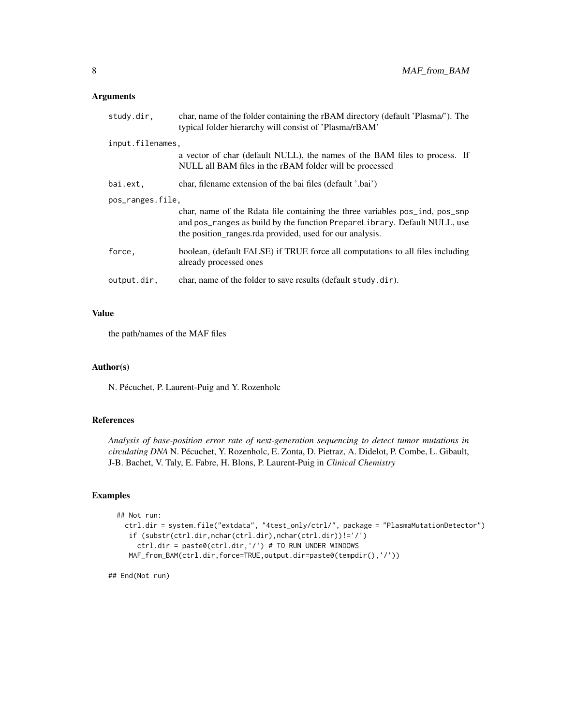#### Arguments

| study.dir.       | char, name of the folder containing the rBAM directory (default 'Plasma/'). The<br>typical folder hierarchy will consist of 'Plasma/rBAM'                                                                             |
|------------------|-----------------------------------------------------------------------------------------------------------------------------------------------------------------------------------------------------------------------|
| input.filenames, |                                                                                                                                                                                                                       |
|                  | a vector of char (default NULL), the names of the BAM files to process. If<br>NULL all BAM files in the rBAM folder will be processed                                                                                 |
| bai.ext,         | char, filename extension of the bai files (default '.bai')                                                                                                                                                            |
| pos_ranges.file, |                                                                                                                                                                                                                       |
|                  | char, name of the Rdata file containing the three variables pos_ind, pos_snp<br>and pos_ranges as build by the function PrepareLibrary. Default NULL, use<br>the position_ranges.rda provided, used for our analysis. |
| force.           | boolean, (default FALSE) if TRUE force all computations to all files including<br>already processed ones                                                                                                              |
| output.dir,      | char, name of the folder to save results (default study.dir).                                                                                                                                                         |

#### Value

the path/names of the MAF files

#### Author(s)

N. Pécuchet, P. Laurent-Puig and Y. Rozenholc

#### References

*Analysis of base-position error rate of next-generation sequencing to detect tumor mutations in circulating DNA* N. Pécuchet, Y. Rozenholc, E. Zonta, D. Pietraz, A. Didelot, P. Combe, L. Gibault, J-B. Bachet, V. Taly, E. Fabre, H. Blons, P. Laurent-Puig in *Clinical Chemistry*

#### Examples

```
## Not run:
 ctrl.dir = system.file("extdata", "4test_only/ctrl/", package = "PlasmaMutationDetector")
   if (substr(ctrl.dir,nchar(ctrl.dir),nchar(ctrl.dir))!='/')
     ctrl.dir = paste0(ctrl.dir,'/') # TO RUN UNDER WINDOWS
   MAF_from_BAM(ctrl.dir,force=TRUE,output.dir=paste0(tempdir(),'/'))
```
## End(Not run)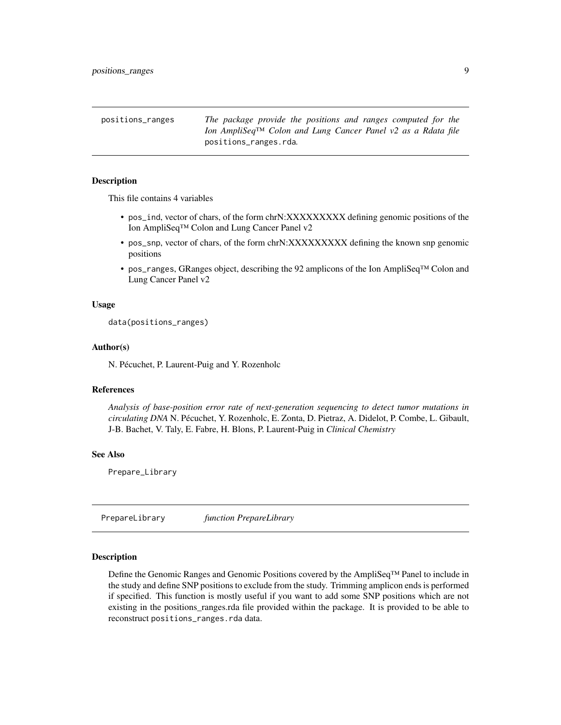<span id="page-8-0"></span>positions\_ranges *The package provide the positions and ranges computed for the Ion AmpliSeq™ Colon and Lung Cancer Panel v2 as a Rdata file* positions\_ranges.rda*.*

#### Description

This file contains 4 variables

- pos\_ind, vector of chars, of the form chrN:XXXXXXXXX defining genomic positions of the Ion AmpliSeq™ Colon and Lung Cancer Panel v2
- pos\_snp, vector of chars, of the form chrN:XXXXXXXXX defining the known snp genomic positions
- pos\_ranges, GRanges object, describing the 92 amplicons of the Ion AmpliSeq™ Colon and Lung Cancer Panel v2

#### Usage

data(positions\_ranges)

#### Author(s)

N. Pécuchet, P. Laurent-Puig and Y. Rozenholc

#### References

*Analysis of base-position error rate of next-generation sequencing to detect tumor mutations in circulating DNA* N. Pécuchet, Y. Rozenholc, E. Zonta, D. Pietraz, A. Didelot, P. Combe, L. Gibault, J-B. Bachet, V. Taly, E. Fabre, H. Blons, P. Laurent-Puig in *Clinical Chemistry*

#### See Also

Prepare\_Library

PrepareLibrary *function PrepareLibrary*

#### Description

Define the Genomic Ranges and Genomic Positions covered by the AmpliSeq™ Panel to include in the study and define SNP positions to exclude from the study. Trimming amplicon ends is performed if specified. This function is mostly useful if you want to add some SNP positions which are not existing in the positions\_ranges.rda file provided within the package. It is provided to be able to reconstruct positions\_ranges.rda data.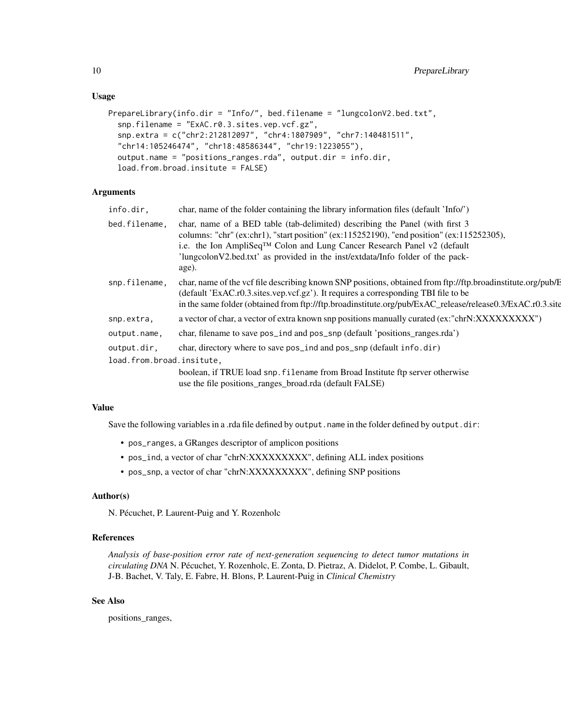#### Usage

```
PrepareLibrary(info.dir = "Info/", bed.filename = "lungcolonV2.bed.txt",
  snp.filename = "ExAC.r0.3.sites.vep.vcf.gz",
  snp.extra = c("chr2:212812097", "chr4:1807909", "chr7:140481511",
  "chr14:105246474", "chr18:48586344", "chr19:1223055"),
  output.name = "positions_ranges.rda", output.dir = info.dir,
  load.from.broad.insitute = FALSE)
```
#### Arguments

| info.dir,                 | char, name of the folder containing the library information files (default 'Info/')                                                                                                                                                                                                                                                                          |
|---------------------------|--------------------------------------------------------------------------------------------------------------------------------------------------------------------------------------------------------------------------------------------------------------------------------------------------------------------------------------------------------------|
| bed.filename,             | char, name of a BED table (tab-delimited) describing the Panel (with first 3<br>columns: "chr" (ex:chr1), "start position" (ex:115252190), "end position" (ex:115252305),<br>i.e. the Ion AmpliSeq <sup>TM</sup> Colon and Lung Cancer Research Panel v2 (default<br>'lungcolonV2.bed.txt' as provided in the inst/extdata/Info folder of the pack-<br>age). |
| snp.filename,             | char, name of the vcf file describing known SNP positions, obtained from ftp://ftp.broadinstitute.org/pub/E<br>(default 'ExAC.r0.3.sites.vep.vcf.gz'). It requires a corresponding TBI file to be<br>in the same folder (obtained from ftp://ftp.broadinstitute.org/pub/ExAC_release/release0.3/ExAC.r0.3.site                                               |
| snp.extra,                | a vector of char, a vector of extra known snp positions manually curated (ex:"chrN:XXXXXXXXY.")                                                                                                                                                                                                                                                              |
| output.name,              | char, filename to save pos_ind and pos_snp (default 'positions_ranges.rda')                                                                                                                                                                                                                                                                                  |
| output.dir,               | char, directory where to save pos_ind and pos_snp (default info.dir)                                                                                                                                                                                                                                                                                         |
| load.from.broad.insitute, |                                                                                                                                                                                                                                                                                                                                                              |
|                           | boolean, if TRUE load snp. filename from Broad Institute ftp server otherwise<br>use the file positions_ranges_broad.rda (default FALSE)                                                                                                                                                                                                                     |

#### Value

Save the following variables in a .rda file defined by output.name in the folder defined by output.dir:

- pos\_ranges, a GRanges descriptor of amplicon positions
- pos\_ind, a vector of char "chrN:XXXXXXXXX", defining ALL index positions
- pos\_snp, a vector of char "chrN:XXXXXXXXX", defining SNP positions

#### Author(s)

N. Pécuchet, P. Laurent-Puig and Y. Rozenholc

#### References

*Analysis of base-position error rate of next-generation sequencing to detect tumor mutations in circulating DNA* N. Pécuchet, Y. Rozenholc, E. Zonta, D. Pietraz, A. Didelot, P. Combe, L. Gibault, J-B. Bachet, V. Taly, E. Fabre, H. Blons, P. Laurent-Puig in *Clinical Chemistry*

#### See Also

positions\_ranges,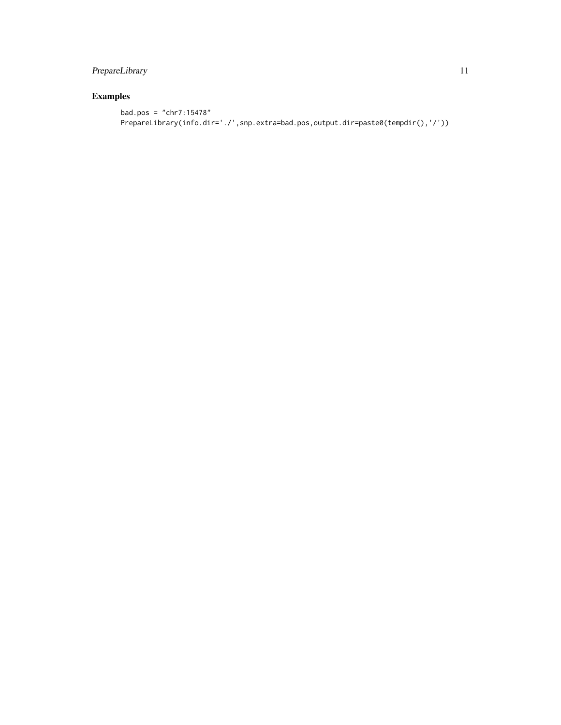## PrepareLibrary 11

### Examples

```
bad.pos = "chr7:15478"
PrepareLibrary(info.dir='./',snp.extra=bad.pos,output.dir=paste0(tempdir(),'/'))
```